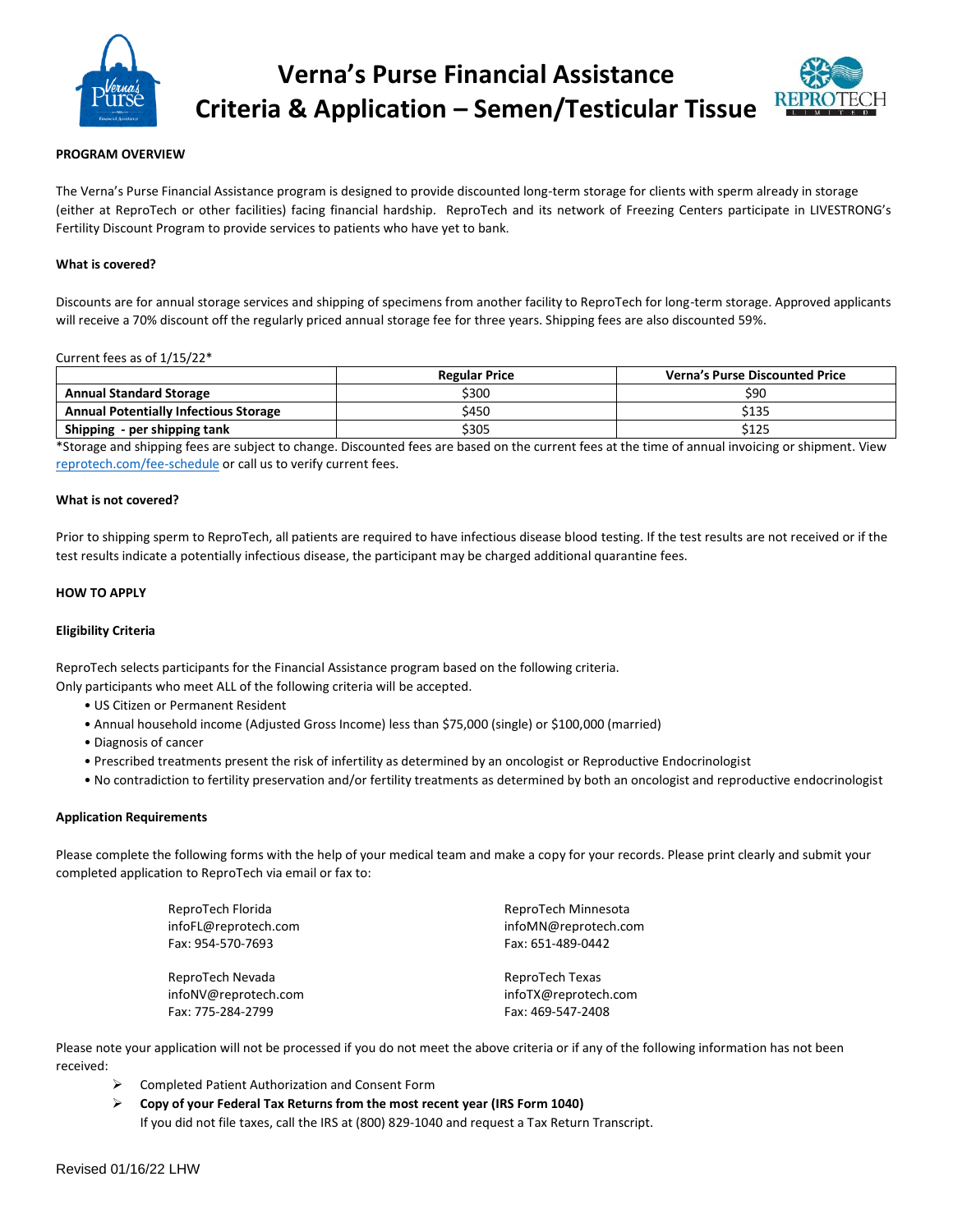

**Verna's Purse Financial Assistance Criteria & Application – Semen/Testicular Tissue**



## **PROGRAM OVERVIEW**

The Verna's Purse Financial Assistance program is designed to provide discounted long-term storage for clients with sperm already in storage (either at ReproTech or other facilities) facing financial hardship. ReproTech and its network of Freezing Centers participate in LIVESTRONG's Fertility Discount Program to provide services to patients who have yet to bank.

### **What is covered?**

Discounts are for annual storage services and shipping of specimens from another facility to ReproTech for long-term storage. Approved applicants will receive a 70% discount off the regularly priced annual storage fee for three years. Shipping fees are also discounted 59%.

#### Current fees as of 1/15/22\*

|                                              | <b>Regular Price</b> | <b>Verna's Purse Discounted Price</b> |
|----------------------------------------------|----------------------|---------------------------------------|
| <b>Annual Standard Storage</b>               | \$300                | \$90                                  |
| <b>Annual Potentially Infectious Storage</b> | \$450                | \$135                                 |
| Shipping - per shipping tank                 | \$305                | \$125                                 |

\*Storage and shipping fees are subject to change. Discounted fees are based on the current fees at the time of annual invoicing or shipment. View [reprotech.com/fee-schedule](https://www.reprotech.com/fee-schedule/) or call us to verify current fees.

### **What is not covered?**

Prior to shipping sperm to ReproTech, all patients are required to have infectious disease blood testing. If the test results are not received or if the test results indicate a potentially infectious disease, the participant may be charged additional quarantine fees.

### **HOW TO APPLY**

### **Eligibility Criteria**

ReproTech selects participants for the Financial Assistance program based on the following criteria.

Only participants who meet ALL of the following criteria will be accepted.

- US Citizen or Permanent Resident
- Annual household income (Adjusted Gross Income) less than \$75,000 (single) or \$100,000 (married)
- Diagnosis of cancer
- Prescribed treatments present the risk of infertility as determined by an oncologist or Reproductive Endocrinologist
- No contradiction to fertility preservation and/or fertility treatments as determined by both an oncologist and reproductive endocrinologist

#### **Application Requirements**

Please complete the following forms with the help of your medical team and make a copy for your records. Please print clearly and submit your completed application to ReproTech via email or fax to:

| ReproTech Florida    | ReproTech Minnesota  |
|----------------------|----------------------|
| infoFL@reprotech.com | infoMN@reprotech.com |
| Fax: 954-570-7693    | Fax: 651-489-0442    |
| ReproTech Nevada     | ReproTech Texas      |
| infoNV@reprotech.com | infoTX@reprotech.com |
| Fax: 775-284-2799    | Fax: 469-547-2408    |

Please note your application will not be processed if you do not meet the above criteria or if any of the following information has not been received:

- ➢ Completed Patient Authorization and Consent Form
- ➢ **Copy of your Federal Tax Returns from the most recent year (IRS Form 1040)**  If you did not file taxes, call the IRS at (800) 829-1040 and request a Tax Return Transcript.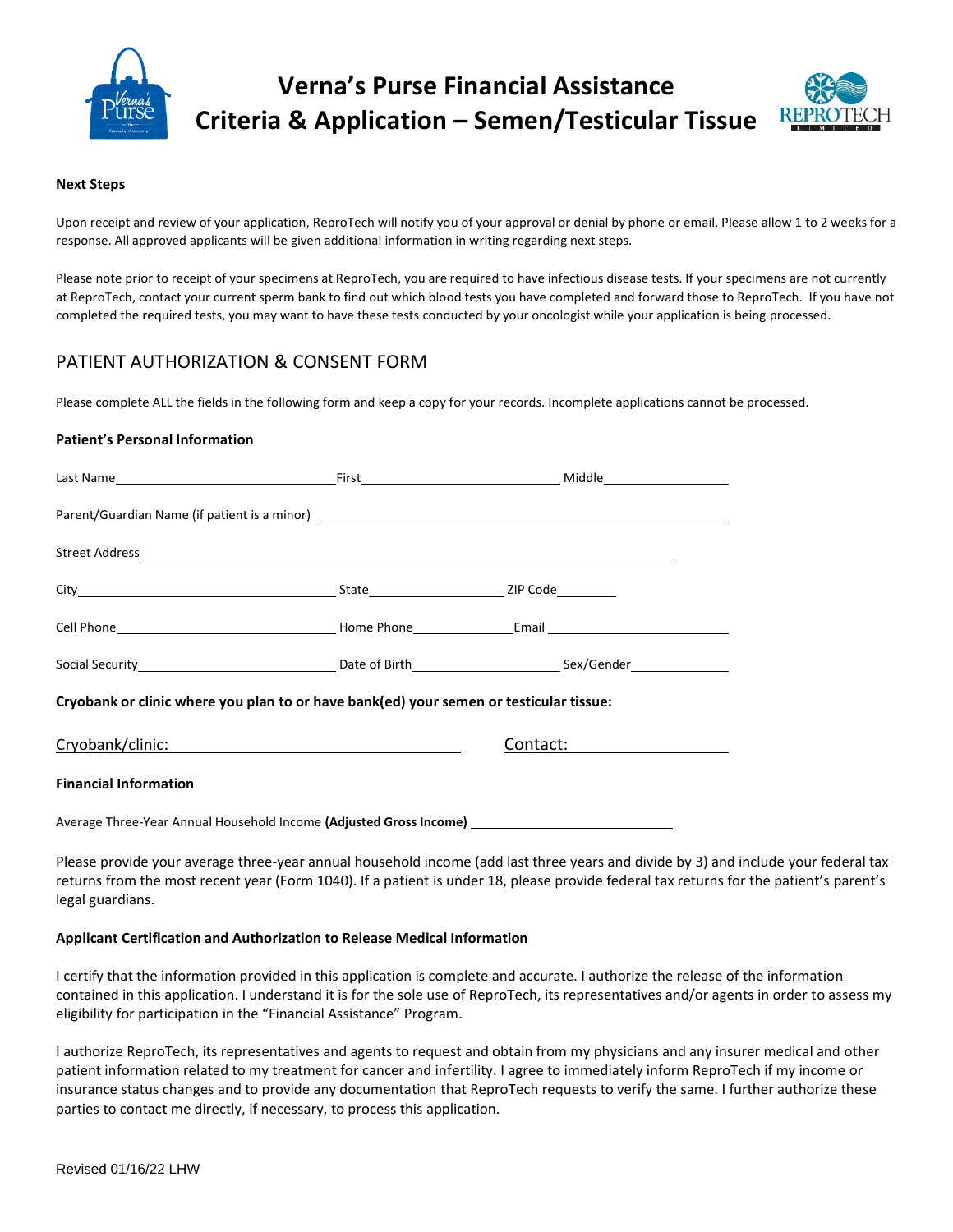

# **Verna's Purse Financial Assistance Criteria & Application – Semen/Testicular Tissue**



# **Next Steps**

Upon receipt and review of your application, ReproTech will notify you of your approval or denial by phone or email. Please allow 1 to 2 weeks for a response. All approved applicants will be given additional information in writing regarding next steps.

Please note prior to receipt of your specimens at ReproTech, you are required to have infectious disease tests. If your specimens are not currently at ReproTech, contact your current sperm bank to find out which blood tests you have completed and forward those to ReproTech. If you have not completed the required tests, you may want to have these tests conducted by your oncologist while your application is being processed.

# PATIENT AUTHORIZATION & CONSENT FORM

Please complete ALL the fields in the following form and keep a copy for your records. Incomplete applications cannot be processed.

# **Patient's Personal Information**

| Cryobank or clinic where you plan to or have bank(ed) your semen or testicular tissue:              |               |  |
|-----------------------------------------------------------------------------------------------------|---------------|--|
| Cryobank/clinic: New York Discovery Cryobank/clinic:                                                | Contact: 2008 |  |
| <b>Financial Information</b>                                                                        |               |  |
| Average Three-Year Annual Household Income (Adjusted Gross Income) ________________________________ |               |  |

Please provide your average three-year annual household income (add last three years and divide by 3) and include your federal tax returns from the most recent year (Form 1040). If a patient is under 18, please provide federal tax returns for the patient's parent's legal guardians.

# **Applicant Certification and Authorization to Release Medical Information**

I certify that the information provided in this application is complete and accurate. I authorize the release of the information contained in this application. I understand it is for the sole use of ReproTech, its representatives and/or agents in order to assess my eligibility for participation in the "Financial Assistance" Program.

I authorize ReproTech, its representatives and agents to request and obtain from my physicians and any insurer medical and other patient information related to my treatment for cancer and infertility. I agree to immediately inform ReproTech if my income or insurance status changes and to provide any documentation that ReproTech requests to verify the same. I further authorize these parties to contact me directly, if necessary, to process this application.